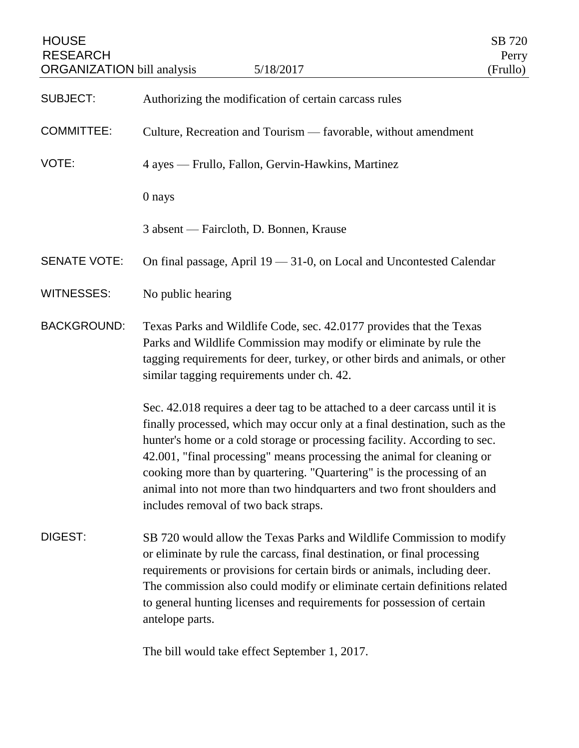| <b>HOUSE</b><br><b>RESEARCH</b><br><b>ORGANIZATION</b> bill analysis | 5/18/2017                                                                                                                                                                                                                                                                                                                                                                                                                                                                                                     | SB 720<br>Perry<br>(Frullo) |
|----------------------------------------------------------------------|---------------------------------------------------------------------------------------------------------------------------------------------------------------------------------------------------------------------------------------------------------------------------------------------------------------------------------------------------------------------------------------------------------------------------------------------------------------------------------------------------------------|-----------------------------|
| <b>SUBJECT:</b>                                                      | Authorizing the modification of certain carcass rules                                                                                                                                                                                                                                                                                                                                                                                                                                                         |                             |
| <b>COMMITTEE:</b>                                                    | Culture, Recreation and Tourism - favorable, without amendment                                                                                                                                                                                                                                                                                                                                                                                                                                                |                             |
| VOTE:                                                                | 4 ayes — Frullo, Fallon, Gervin-Hawkins, Martinez                                                                                                                                                                                                                                                                                                                                                                                                                                                             |                             |
|                                                                      | 0 nays                                                                                                                                                                                                                                                                                                                                                                                                                                                                                                        |                             |
|                                                                      | 3 absent — Faircloth, D. Bonnen, Krause                                                                                                                                                                                                                                                                                                                                                                                                                                                                       |                             |
| <b>SENATE VOTE:</b>                                                  | On final passage, April 19 - 31-0, on Local and Uncontested Calendar                                                                                                                                                                                                                                                                                                                                                                                                                                          |                             |
| <b>WITNESSES:</b>                                                    | No public hearing                                                                                                                                                                                                                                                                                                                                                                                                                                                                                             |                             |
| <b>BACKGROUND:</b>                                                   | Texas Parks and Wildlife Code, sec. 42.0177 provides that the Texas<br>Parks and Wildlife Commission may modify or eliminate by rule the<br>tagging requirements for deer, turkey, or other birds and animals, or other<br>similar tagging requirements under ch. 42.                                                                                                                                                                                                                                         |                             |
|                                                                      | Sec. 42.018 requires a deer tag to be attached to a deer carcass until it is<br>finally processed, which may occur only at a final destination, such as the<br>hunter's home or a cold storage or processing facility. According to sec.<br>42.001, "final processing" means processing the animal for cleaning or<br>cooking more than by quartering. "Quartering" is the processing of an<br>animal into not more than two hindquarters and two front shoulders and<br>includes removal of two back straps. |                             |
| DIGEST:                                                              | SB 720 would allow the Texas Parks and Wildlife Commission to modify<br>or eliminate by rule the carcass, final destination, or final processing<br>requirements or provisions for certain birds or animals, including deer.<br>The commission also could modify or eliminate certain definitions related<br>to general hunting licenses and requirements for possession of certain<br>antelope parts.                                                                                                        |                             |
|                                                                      | The bill would take offect September 1, 2017                                                                                                                                                                                                                                                                                                                                                                                                                                                                  |                             |

The bill would take effect September 1, 2017.